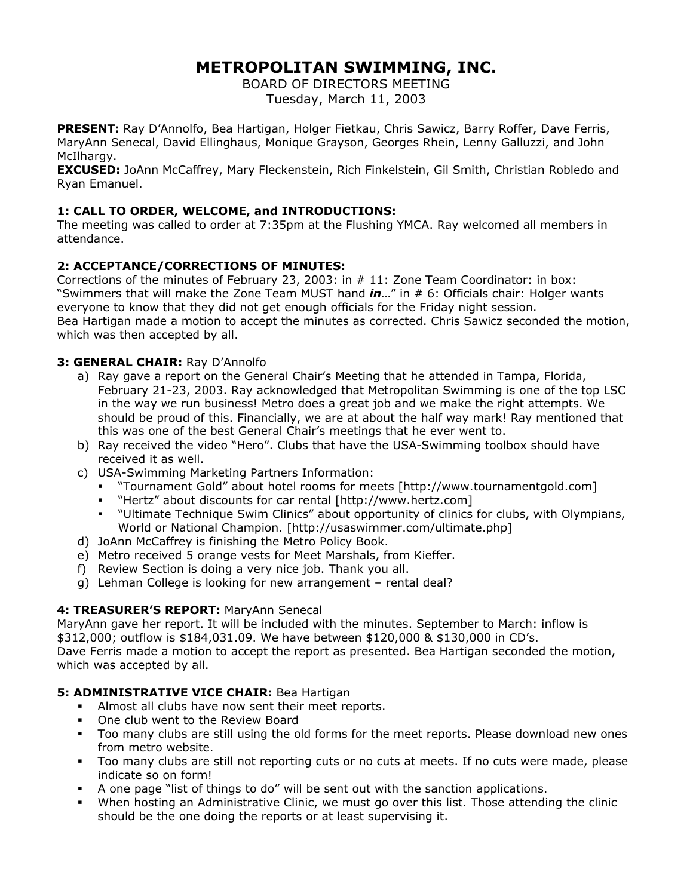# **METROPOLITAN SWIMMING, INC.**

BOARD OF DIRECTORS MEETING Tuesday, March 11, 2003

**PRESENT:** Ray D'Annolfo, Bea Hartigan, Holger Fietkau, Chris Sawicz, Barry Roffer, Dave Ferris, MaryAnn Senecal, David Ellinghaus, Monique Grayson, Georges Rhein, Lenny Galluzzi, and John McIlhargy.

**EXCUSED:** JoAnn McCaffrey, Mary Fleckenstein, Rich Finkelstein, Gil Smith, Christian Robledo and Ryan Emanuel.

# **1: CALL TO ORDER, WELCOME, and INTRODUCTIONS:**

The meeting was called to order at 7:35pm at the Flushing YMCA. Ray welcomed all members in attendance.

# **2: ACCEPTANCE/CORRECTIONS OF MINUTES:**

Corrections of the minutes of February 23, 2003: in # 11: Zone Team Coordinator: in box: "Swimmers that will make the Zone Team MUST hand *in*…" in # 6: Officials chair: Holger wants everyone to know that they did not get enough officials for the Friday night session. Bea Hartigan made a motion to accept the minutes as corrected. Chris Sawicz seconded the motion, which was then accepted by all.

# **3: GENERAL CHAIR:** Ray D'Annolfo

- a) Ray gave a report on the General Chair's Meeting that he attended in Tampa, Florida, February 21-23, 2003. Ray acknowledged that Metropolitan Swimming is one of the top LSC in the way we run business! Metro does a great job and we make the right attempts. We should be proud of this. Financially, we are at about the half way mark! Ray mentioned that this was one of the best General Chair's meetings that he ever went to.
- b) Ray received the video "Hero". Clubs that have the USA-Swimming toolbox should have received it as well.
- c) USA-Swimming Marketing Partners Information:
	- "Tournament Gold" about hotel rooms for meets [http://www.tournamentgold.com]
	- "Hertz" about discounts for car rental [http://www.hertz.com]
	- "Ultimate Technique Swim Clinics" about opportunity of clinics for clubs, with Olympians, World or National Champion. [http://usaswimmer.com/ultimate.php]
- d) JoAnn McCaffrey is finishing the Metro Policy Book.
- e) Metro received 5 orange vests for Meet Marshals, from Kieffer.
- f) Review Section is doing a very nice job. Thank you all.
- g) Lehman College is looking for new arrangement rental deal?

# **4: TREASURER'S REPORT:** MaryAnn Senecal

MaryAnn gave her report. It will be included with the minutes. September to March: inflow is \$312,000; outflow is \$184,031.09. We have between \$120,000 & \$130,000 in CD's. Dave Ferris made a motion to accept the report as presented. Bea Hartigan seconded the motion, which was accepted by all.

# **5: ADMINISTRATIVE VICE CHAIR: Bea Hartigan**

- Almost all clubs have now sent their meet reports.
- One club went to the Review Board
- Too many clubs are still using the old forms for the meet reports. Please download new ones from metro website.
- Too many clubs are still not reporting cuts or no cuts at meets. If no cuts were made, please indicate so on form!
- A one page "list of things to do" will be sent out with the sanction applications.
- When hosting an Administrative Clinic, we must go over this list. Those attending the clinic should be the one doing the reports or at least supervising it.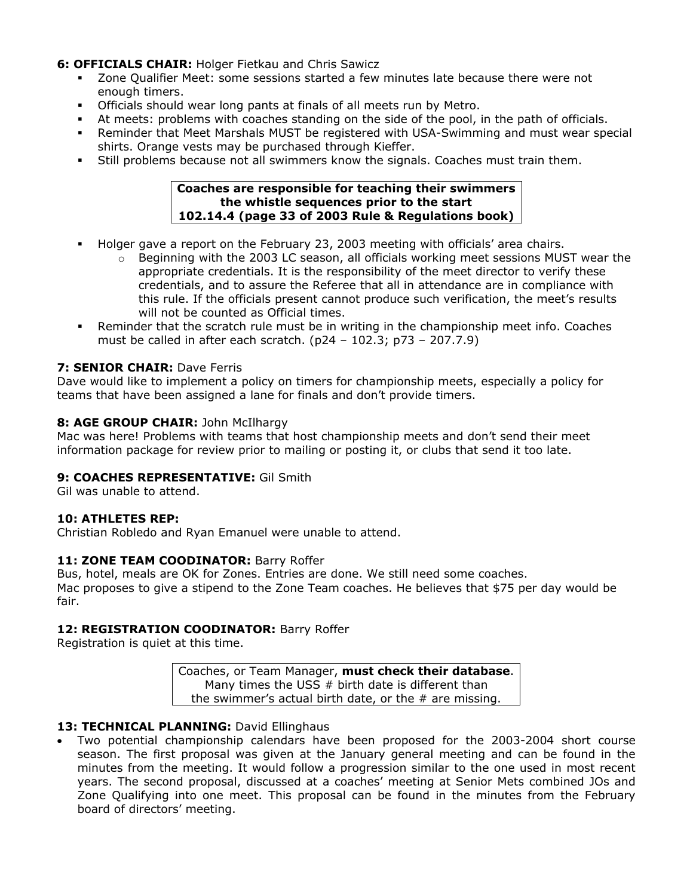# **6: OFFICIALS CHAIR:** Holger Fietkau and Chris Sawicz

- Zone Qualifier Meet: some sessions started a few minutes late because there were not enough timers.
- Officials should wear long pants at finals of all meets run by Metro.
- At meets: problems with coaches standing on the side of the pool, in the path of officials.
- Reminder that Meet Marshals MUST be registered with USA-Swimming and must wear special shirts. Orange vests may be purchased through Kieffer.
- Still problems because not all swimmers know the signals. Coaches must train them.

#### **Coaches are responsible for teaching their swimmers the whistle sequences prior to the start 102.14.4 (page 33 of 2003 Rule & Regulations book)**

- Holger gave a report on the February 23, 2003 meeting with officials' area chairs.
	- $\circ$  Beginning with the 2003 LC season, all officials working meet sessions MUST wear the appropriate credentials. It is the responsibility of the meet director to verify these credentials, and to assure the Referee that all in attendance are in compliance with this rule. If the officials present cannot produce such verification, the meet's results will not be counted as Official times.
- Reminder that the scratch rule must be in writing in the championship meet info. Coaches must be called in after each scratch. (p24 – 102.3; p73 – 207.7.9)

## **7: SENIOR CHAIR:** Dave Ferris

Dave would like to implement a policy on timers for championship meets, especially a policy for teams that have been assigned a lane for finals and don't provide timers.

## **8: AGE GROUP CHAIR:** John McIlhargy

Mac was here! Problems with teams that host championship meets and don't send their meet information package for review prior to mailing or posting it, or clubs that send it too late.

#### **9: COACHES REPRESENTATIVE:** Gil Smith

Gil was unable to attend.

#### **10: ATHLETES REP:**

Christian Robledo and Ryan Emanuel were unable to attend.

#### **11: ZONE TEAM COODINATOR:** Barry Roffer

Bus, hotel, meals are OK for Zones. Entries are done. We still need some coaches. Mac proposes to give a stipend to the Zone Team coaches. He believes that \$75 per day would be fair.

## 12: REGISTRATION COODINATOR: Barry Roffer

Registration is quiet at this time.

Coaches, or Team Manager, **must check their database**. Many times the USS  $#$  birth date is different than the swimmer's actual birth date, or the  $#$  are missing.

#### 13: TECHNICAL PLANNING: David Ellinghaus

• Two potential championship calendars have been proposed for the 2003-2004 short course season. The first proposal was given at the January general meeting and can be found in the minutes from the meeting. It would follow a progression similar to the one used in most recent years. The second proposal, discussed at a coaches' meeting at Senior Mets combined JOs and Zone Qualifying into one meet. This proposal can be found in the minutes from the February board of directors' meeting.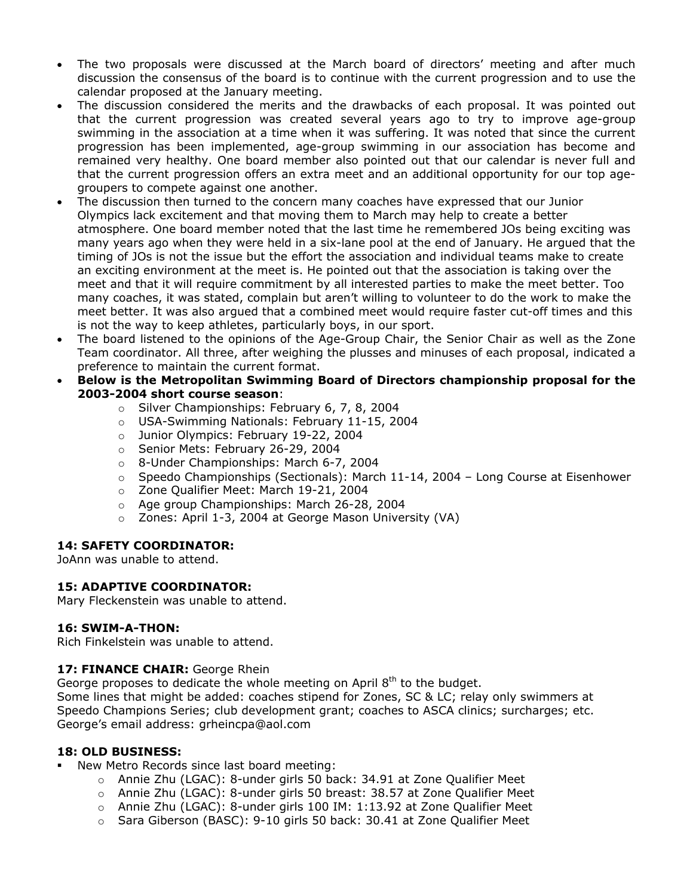- The two proposals were discussed at the March board of directors' meeting and after much discussion the consensus of the board is to continue with the current progression and to use the calendar proposed at the January meeting.
- The discussion considered the merits and the drawbacks of each proposal. It was pointed out that the current progression was created several years ago to try to improve age-group swimming in the association at a time when it was suffering. It was noted that since the current progression has been implemented, age-group swimming in our association has become and remained very healthy. One board member also pointed out that our calendar is never full and that the current progression offers an extra meet and an additional opportunity for our top agegroupers to compete against one another.
- The discussion then turned to the concern many coaches have expressed that our Junior Olympics lack excitement and that moving them to March may help to create a better atmosphere. One board member noted that the last time he remembered JOs being exciting was many years ago when they were held in a six-lane pool at the end of January. He argued that the timing of JOs is not the issue but the effort the association and individual teams make to create an exciting environment at the meet is. He pointed out that the association is taking over the meet and that it will require commitment by all interested parties to make the meet better. Too many coaches, it was stated, complain but aren't willing to volunteer to do the work to make the meet better. It was also argued that a combined meet would require faster cut-off times and this is not the way to keep athletes, particularly boys, in our sport.
- The board listened to the opinions of the Age-Group Chair, the Senior Chair as well as the Zone Team coordinator. All three, after weighing the plusses and minuses of each proposal, indicated a preference to maintain the current format.
- **Below is the Metropolitan Swimming Board of Directors championship proposal for the 2003-2004 short course season**:
	- o Silver Championships: February 6, 7, 8, 2004
	- o USA-Swimming Nationals: February 11-15, 2004
	- o Junior Olympics: February 19-22, 2004
	- o Senior Mets: February 26-29, 2004
	- o 8-Under Championships: March 6-7, 2004
	- $\circ$  Speedo Championships (Sectionals): March 11-14, 2004 Long Course at Eisenhower
	- o Zone Qualifier Meet: March 19-21, 2004
	- o Age group Championships: March 26-28, 2004
	- o Zones: April 1-3, 2004 at George Mason University (VA)

#### **14: SAFETY COORDINATOR:**

JoAnn was unable to attend.

#### **15: ADAPTIVE COORDINATOR:**

Mary Fleckenstein was unable to attend.

#### **16: SWIM-A-THON:**

Rich Finkelstein was unable to attend.

#### 17: FINANCE CHAIR: George Rhein

George proposes to dedicate the whole meeting on April  $8<sup>th</sup>$  to the budget.

Some lines that might be added: coaches stipend for Zones, SC & LC; relay only swimmers at Speedo Champions Series; club development grant; coaches to ASCA clinics; surcharges; etc. George's email address: grheincpa@aol.com

#### **18: OLD BUSINESS:**

- New Metro Records since last board meeting:
	- o Annie Zhu (LGAC): 8-under girls 50 back: 34.91 at Zone Qualifier Meet
	- o Annie Zhu (LGAC): 8-under girls 50 breast: 38.57 at Zone Qualifier Meet
	- o Annie Zhu (LGAC): 8-under girls 100 IM: 1:13.92 at Zone Qualifier Meet
	- o Sara Giberson (BASC): 9-10 girls 50 back: 30.41 at Zone Qualifier Meet